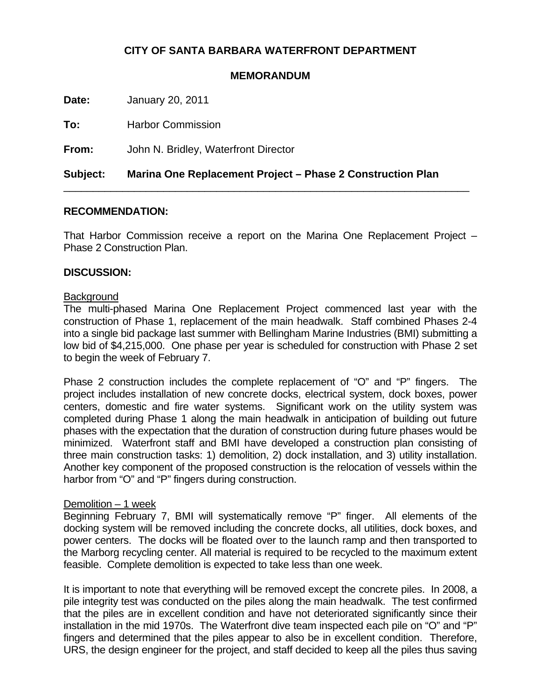# **CITY OF SANTA BARBARA WATERFRONT DEPARTMENT**

#### **MEMORANDUM**

**Date:** January 20, 2011

**To:** Harbor Commission

**From:** John N. Bridley, Waterfront Director

**Subject: Marina One Replacement Project – Phase 2 Construction Plan**

## **RECOMMENDATION:**

That Harbor Commission receive a report on the Marina One Replacement Project – Phase 2 Construction Plan.

\_\_\_\_\_\_\_\_\_\_\_\_\_\_\_\_\_\_\_\_\_\_\_\_\_\_\_\_\_\_\_\_\_\_\_\_\_\_\_\_\_\_\_\_\_\_\_\_\_\_\_\_\_\_\_\_\_\_\_\_\_\_\_\_\_\_\_\_\_

#### **DISCUSSION:**

#### **Background**

The multi-phased Marina One Replacement Project commenced last year with the construction of Phase 1, replacement of the main headwalk. Staff combined Phases 2-4 into a single bid package last summer with Bellingham Marine Industries (BMI) submitting a low bid of \$4,215,000. One phase per year is scheduled for construction with Phase 2 set to begin the week of February 7.

Phase 2 construction includes the complete replacement of "O" and "P" fingers. The project includes installation of new concrete docks, electrical system, dock boxes, power centers, domestic and fire water systems. Significant work on the utility system was completed during Phase 1 along the main headwalk in anticipation of building out future phases with the expectation that the duration of construction during future phases would be minimized. Waterfront staff and BMI have developed a construction plan consisting of three main construction tasks: 1) demolition, 2) dock installation, and 3) utility installation. Another key component of the proposed construction is the relocation of vessels within the harbor from "O" and "P" fingers during construction.

## Demolition – 1 week

Beginning February 7, BMI will systematically remove "P" finger. All elements of the docking system will be removed including the concrete docks, all utilities, dock boxes, and power centers. The docks will be floated over to the launch ramp and then transported to the Marborg recycling center. All material is required to be recycled to the maximum extent feasible. Complete demolition is expected to take less than one week.

It is important to note that everything will be removed except the concrete piles. In 2008, a pile integrity test was conducted on the piles along the main headwalk. The test confirmed that the piles are in excellent condition and have not deteriorated significantly since their installation in the mid 1970s. The Waterfront dive team inspected each pile on "O" and "P" fingers and determined that the piles appear to also be in excellent condition. Therefore, URS, the design engineer for the project, and staff decided to keep all the piles thus saving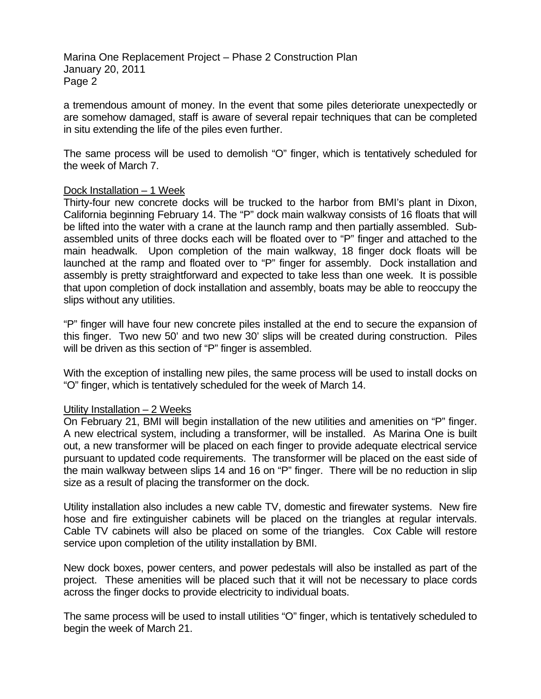Marina One Replacement Project – Phase 2 Construction Plan January 20, 2011 Page 2

a tremendous amount of money. In the event that some piles deteriorate unexpectedly or are somehow damaged, staff is aware of several repair techniques that can be completed in situ extending the life of the piles even further.

The same process will be used to demolish "O" finger, which is tentatively scheduled for the week of March 7.

## Dock Installation – 1 Week

Thirty-four new concrete docks will be trucked to the harbor from BMI's plant in Dixon, California beginning February 14. The "P" dock main walkway consists of 16 floats that will be lifted into the water with a crane at the launch ramp and then partially assembled. Subassembled units of three docks each will be floated over to "P" finger and attached to the main headwalk. Upon completion of the main walkway, 18 finger dock floats will be launched at the ramp and floated over to "P" finger for assembly. Dock installation and assembly is pretty straightforward and expected to take less than one week. It is possible that upon completion of dock installation and assembly, boats may be able to reoccupy the slips without any utilities.

"P" finger will have four new concrete piles installed at the end to secure the expansion of this finger. Two new 50' and two new 30' slips will be created during construction. Piles will be driven as this section of "P" finger is assembled.

With the exception of installing new piles, the same process will be used to install docks on "O" finger, which is tentatively scheduled for the week of March 14.

## Utility Installation – 2 Weeks

On February 21, BMI will begin installation of the new utilities and amenities on "P" finger. A new electrical system, including a transformer, will be installed. As Marina One is built out, a new transformer will be placed on each finger to provide adequate electrical service pursuant to updated code requirements. The transformer will be placed on the east side of the main walkway between slips 14 and 16 on "P" finger. There will be no reduction in slip size as a result of placing the transformer on the dock.

Utility installation also includes a new cable TV, domestic and firewater systems. New fire hose and fire extinguisher cabinets will be placed on the triangles at regular intervals. Cable TV cabinets will also be placed on some of the triangles. Cox Cable will restore service upon completion of the utility installation by BMI.

New dock boxes, power centers, and power pedestals will also be installed as part of the project. These amenities will be placed such that it will not be necessary to place cords across the finger docks to provide electricity to individual boats.

The same process will be used to install utilities "O" finger, which is tentatively scheduled to begin the week of March 21.